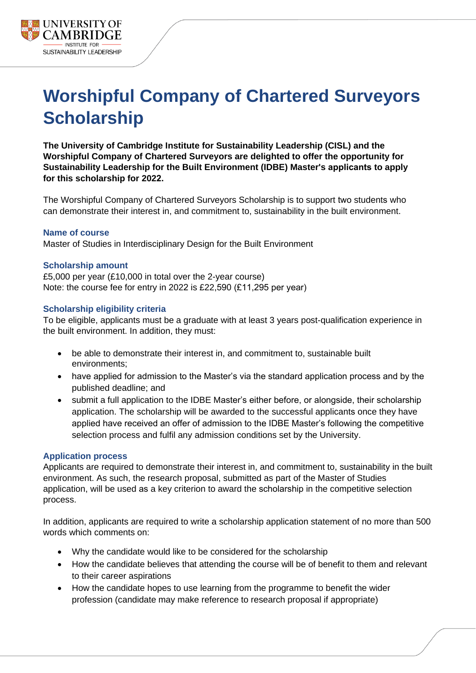

# **Worshipful Company of Chartered Surveyors Scholarship**

**The University of Cambridge Institute for Sustainability Leadership (CISL) and the Worshipful Company of Chartered Surveyors are delighted to offer the opportunity for Sustainability Leadership for the Built Environment (IDBE) Master's applicants to apply for this scholarship for 2022.**

The Worshipful Company of Chartered Surveyors Scholarship is to support two students who can demonstrate their interest in, and commitment to, sustainability in the built environment.

## **Name of course**

Master of Studies in Interdisciplinary Design for the Built Environment

### **Scholarship amount**

£5,000 per year (£10,000 in total over the 2-year course) Note: the course fee for entry in 2022 is £22,590 (£11,295 per year)

### **Scholarship eligibility criteria**

To be eligible, applicants must be a graduate with at least 3 years post-qualification experience in the built environment. In addition, they must:

- be able to demonstrate their interest in, and commitment to, sustainable built environments;
- have applied for admission to the Master's via the standard application process and by the published deadline; and
- submit a full application to the IDBE Master's either before, or alongside, their scholarship application. The scholarship will be awarded to the successful applicants once they have applied have received an offer of admission to the IDBE Master's following the competitive selection process and fulfil any admission conditions set by the University.

#### **Application process**

Applicants are required to demonstrate their interest in, and commitment to, sustainability in the built environment. As such, the research proposal, submitted as part of the Master of Studies application, will be used as a key criterion to award the scholarship in the competitive selection process.

In addition, applicants are required to write a scholarship application statement of no more than 500 words which comments on:

- Why the candidate would like to be considered for the scholarship
- How the candidate believes that attending the course will be of benefit to them and relevant to their career aspirations
- How the candidate hopes to use learning from the programme to benefit the wider profession (candidate may make reference to research proposal if appropriate)